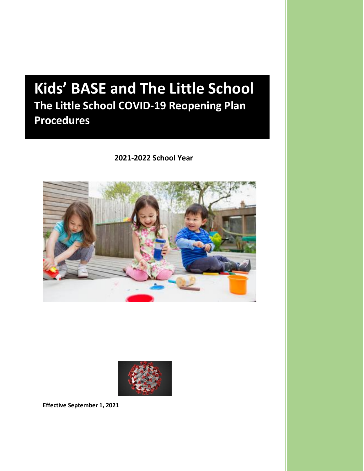# **Kids' BASE and The Little School The Little School COVID-19 Reopening Plan Procedures**

 **2021-2022 School Year**





**Effective September 1, 2021**

**Kid's BASE and The Little School**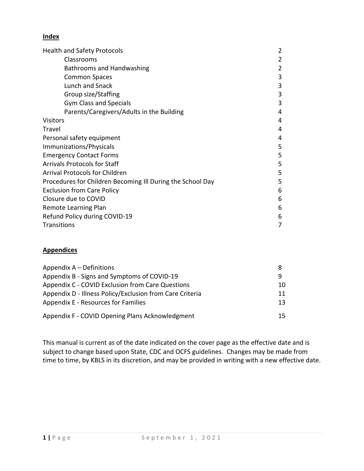#### **Index**

| <b>Health and Safety Protocols</b>                         | 2 |
|------------------------------------------------------------|---|
| Classrooms                                                 | 2 |
| Bathrooms and Handwashing                                  | 2 |
| <b>Common Spaces</b>                                       | 3 |
| Lunch and Snack                                            | 3 |
| Group size/Staffing                                        | 3 |
| <b>Gym Class and Specials</b>                              | 3 |
| Parents/Caregivers/Adults in the Building                  | 4 |
| <b>Visitors</b>                                            | 4 |
| Travel                                                     | 4 |
| Personal safety equipment                                  | 4 |
| Immunizations/Physicals                                    | 5 |
| <b>Emergency Contact Forms</b>                             | 5 |
| <b>Arrivals Protocols for Staff</b>                        | 5 |
| <b>Arrival Protocols for Children</b>                      | 5 |
| Procedures for Children Becoming Ill During the School Day | 5 |
| <b>Exclusion from Care Policy</b>                          | 6 |
| Closure due to COVID                                       | 6 |
| Remote Learning Plan                                       | 6 |
| Refund Policy during COVID-19                              | 6 |
| Transitions                                                | 7 |

#### **Appendices**

| Appendix $A -$ Definitions                               | 8   |
|----------------------------------------------------------|-----|
| Appendix B - Signs and Symptoms of COVID-19              | q   |
| Appendix C - COVID Exclusion from Care Questions         | 10. |
| Appendix D - Illness Policy/Exclusion from Care Criteria | 11  |
| Appendix E - Resources for Families                      | 13. |
| Appendix F - COVID Opening Plans Acknowledgment          | 15  |

This manual is current as of the date indicated on the cover page as the effective date and is subject to change based upon State, CDC and OCFS guidelines. Changes may be made from time to time, by KBLS in its discretion, and may be provided in writing with a new effective date.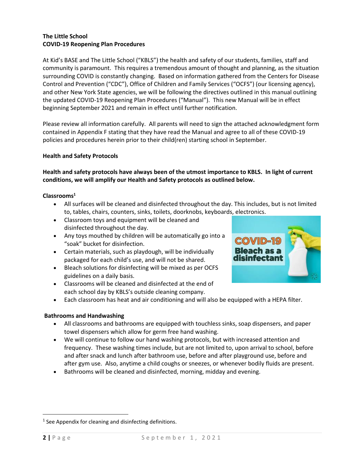#### **The Little School COVID-19 Reopening Plan Procedures**

At Kid's BASE and The Little School ("KBLS") the health and safety of our students, families, staff and community is paramount. This requires a tremendous amount of thought and planning, as the situation surrounding COVID is constantly changing. Based on information gathered from the Centers for Disease Control and Prevention ("CDC"), Office of Children and Family Services ("OCFS") (our licensing agency), and other New York State agencies, we will be following the directives outlined in this manual outlining the updated COVID-19 Reopening Plan Procedures ("Manual"). This new Manual will be in effect beginning September 2021 and remain in effect until further notification.

Please review all information carefully. All parents will need to sign the attached acknowledgment form contained in Appendix F stating that they have read the Manual and agree to all of these COVID-19 policies and procedures herein prior to their child(ren) starting school in September.

#### **Health and Safety Protocols**

#### **Health and safety protocols have always been of the utmost importance to KBLS. In light of current conditions, we will amplify our Health and Safety protocols as outlined below.**

#### **Classrooms<sup>1</sup>**

- All surfaces will be cleaned and disinfected throughout the day. This includes, but is not limited to, tables, chairs, counters, sinks, toilets, doorknobs, keyboards, electronics.
- Classroom toys and equipment will be cleaned and disinfected throughout the day.
- Any toys mouthed by children will be automatically go into a "soak" bucket for disinfection.
- Certain materials, such as playdough, will be individually packaged for each child's use, and will not be shared.
- Bleach solutions for disinfecting will be mixed as per OCFS guidelines on a daily basis.
- Classrooms will be cleaned and disinfected at the end of each school day by KBLS's outside cleaning company.
- Each classroom has heat and air conditioning and will also be equipped with a HEPA filter.

#### **Bathrooms and Handwashing**

- All classrooms and bathrooms are equipped with touchless sinks, soap dispensers, and paper towel dispensers which allow for germ free hand washing.
- We will continue to follow our hand washing protocols, but with increased attention and frequency. These washing times include, but are not limited to, upon arrival to school, before and after snack and lunch after bathroom use, before and after playground use, before and after gym use. Also, anytime a child coughs or sneezes, or whenever bodily fluids are present.
- Bathrooms will be cleaned and disinfected, morning, midday and evening.

 $1$  See Appendix for cleaning and disinfecting definitions.



 $\overline{\phantom{a}}$ 

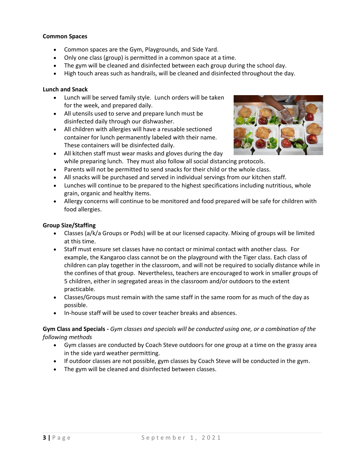#### **Common Spaces**

- Common spaces are the Gym, Playgrounds, and Side Yard.
- Only one class (group) is permitted in a common space at a time.
- The gym will be cleaned and disinfected between each group during the school day.
- High touch areas such as handrails, will be cleaned and disinfected throughout the day.

#### **Lunch and Snack**

- Lunch will be served family style. Lunch orders will be taken for the week, and prepared daily.
- All utensils used to serve and prepare lunch must be disinfected daily through our dishwasher.
- All children with allergies will have a reusable sectioned container for lunch permanently labeled with their name. These containers will be disinfected daily.

• All kitchen staff must wear masks and gloves during the day



- while preparing lunch. They must also follow all social distancing protocols.
- Parents will not be permitted to send snacks for their child or the whole class.
- All snacks will be purchased and served in individual servings from our kitchen staff.
- Lunches will continue to be prepared to the highest specifications including nutritious, whole grain, organic and healthy items.
- Allergy concerns will continue to be monitored and food prepared will be safe for children with food allergies.

#### **Group Size/Staffing**

- Classes (a/k/a Groups or Pods) will be at our licensed capacity. Mixing of groups will be limited at this time.
- Staff must ensure set classes have no contact or minimal contact with another class. For example, the Kangaroo class cannot be on the playground with the Tiger class. Each class of children can play together in the classroom, and will not be required to socially distance while in the confines of that group. Nevertheless, teachers are encouraged to work in smaller groups of 5 children, either in segregated areas in the classroom and/or outdoors to the extent practicable.
- Classes/Groups must remain with the same staff in the same room for as much of the day as possible.
- In-house staff will be used to cover teacher breaks and absences.

#### **Gym Class and Specials -** *Gym classes and specials will be conducted using one, or a combination of the following methods*

- Gym classes are conducted by Coach Steve outdoors for one group at a time on the grassy area in the side yard weather permitting.
- If outdoor classes are not possible, gym classes by Coach Steve will be conducted in the gym.
- The gym will be cleaned and disinfected between classes.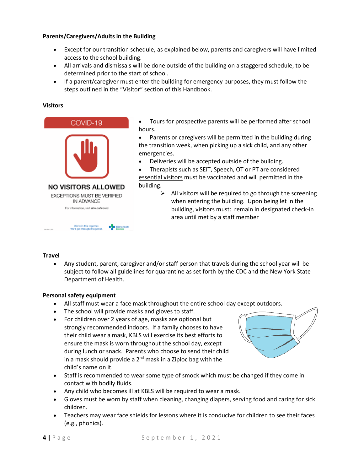#### **Parents/Caregivers/Adults in the Building**

- Except for our transition schedule, as explained below, parents and caregivers will have limited access to the school building.
- All arrivals and dismissals will be done outside of the building on a staggered schedule, to be determined prior to the start of school.
- If a parent/caregiver must enter the building for emergency purposes, they must follow the steps outlined in the "Visitor" section of this Handbook.

#### **Visitors**



We're in this together.<br>We'll get through it togeth

- Tours for prospective parents will be performed after school hours.
- Parents or caregivers will be permitted in the building during the transition week, when picking up a sick child, and any other emergencies.
- Deliveries will be accepted outside of the building.

• Therapists such as SEIT, Speech, OT or PT are considered essential visitors must be vaccinated and will permitted in the building.

> $\triangleright$  All visitors will be required to go through the screening when entering the building. Upon being let in the building, visitors must: remain in designated check-in area until met by a staff member

#### **Travel**

• Any student, parent, caregiver and/or staff person that travels during the school year will be subject to follow all guidelines for quarantine as set forth by the CDC and the New York State Department of Health.

#### **Personal safety equipment**

- All staff must wear a face mask throughout the entire school day except outdoors.
- The school will provide masks and gloves to staff.
- For children over 2 years of age, masks are optional but strongly recommended indoors. If a family chooses to have their child wear a mask, KBLS will exercise its best efforts to ensure the mask is worn throughout the school day, except during lunch or snack. Parents who choose to send their child in a mask should provide a  $2<sup>nd</sup>$  mask in a Ziploc bag with the child's name on it.
- 
- Staff is recommended to wear some type of smock which must be changed if they come in contact with bodily fluids.
- Any child who becomes ill at KBLS will be required to wear a mask.
- Gloves must be worn by staff when cleaning, changing diapers, serving food and caring for sick children.
- Teachers may wear face shields for lessons where it is conducive for children to see their faces (e.g., phonics).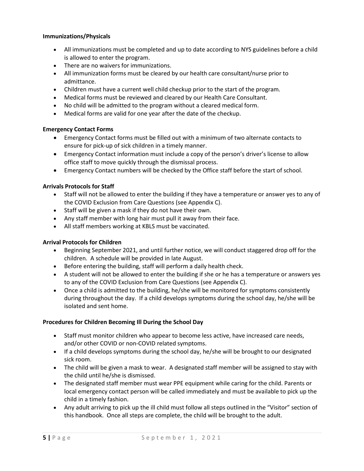#### **Immunizations/Physicals**

- All immunizations must be completed and up to date according to NYS guidelines before a child is allowed to enter the program.
- There are no waivers for immunizations.
- All immunization forms must be cleared by our health care consultant/nurse prior to admittance.
- Children must have a current well child checkup prior to the start of the program.
- Medical forms must be reviewed and cleared by our Health Care Consultant.
- No child will be admitted to the program without a cleared medical form.
- Medical forms are valid for one year after the date of the checkup.

#### **Emergency Contact Forms**

- Emergency Contact forms must be filled out with a minimum of two alternate contacts to ensure for pick-up of sick children in a timely manner.
- Emergency Contact information must include a copy of the person's driver's license to allow office staff to move quickly through the dismissal process.
- Emergency Contact numbers will be checked by the Office staff before the start of school.

#### **Arrivals Protocols for Staff**

- Staff will not be allowed to enter the building if they have a temperature or answer yes to any of the COVID Exclusion from Care Questions (see Appendix C).
- Staff will be given a mask if they do not have their own.
- Any staff member with long hair must pull it away from their face.
- All staff members working at KBLS must be vaccinated.

#### **Arrival Protocols for Children**

- Beginning September 2021, and until further notice, we will conduct staggered drop off for the children. A schedule will be provided in late August.
- Before entering the building, staff will perform a daily health check.
- A student will not be allowed to enter the building if she or he has a temperature or answers yes to any of the COVID Exclusion from Care Questions (see Appendix C).
- Once a child is admitted to the building, he/she will be monitored for symptoms consistently during throughout the day. If a child develops symptoms during the school day, he/she will be isolated and sent home.

#### **Procedures for Children Becoming Ill During the School Day**

- Staff must monitor children who appear to become less active, have increased care needs, and/or other COVID or non-COVID related symptoms.
- If a child develops symptoms during the school day, he/she will be brought to our designated sick room.
- The child will be given a mask to wear. A designated staff member will be assigned to stay with the child until he/she is dismissed.
- The designated staff member must wear PPE equipment while caring for the child. Parents or local emergency contact person will be called immediately and must be available to pick up the child in a timely fashion.
- Any adult arriving to pick up the ill child must follow all steps outlined in the "Visitor" section of this handbook. Once all steps are complete, the child will be brought to the adult.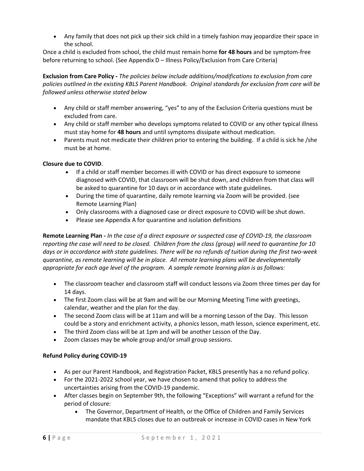• Any family that does not pick up their sick child in a timely fashion may jeopardize their space in the school.

Once a child is excluded from school, the child must remain home **for 48 hours** and be symptom-free before returning to school. (See Appendix D – Illness Policy/Exclusion from Care Criteria)

**Exclusion from Care Policy -** *The policies below include additions/modifications to exclusion from care policies outlined in the existing KBLS Parent Handbook. Original standards for exclusion from care will be followed unless otherwise stated below*

- Any child or staff member answering, "yes" to any of the Exclusion Criteria questions must be excluded from care.
- Any child or staff member who develops symptoms related to COVID or any other typical illness must stay home for **48 hours** and until symptoms dissipate without medication.
- Parents must not medicate their children prior to entering the building. If a child is sick he /she must be at home.

#### **Closure due to COVID**.

- If a child or staff member becomes ill with COVID or has direct exposure to someone diagnosed with COVID, that classroom will be shut down, and children from that class will be asked to quarantine for 10 days or in accordance with state guidelines.
- During the time of quarantine, daily remote learning via Zoom will be provided. (see Remote Learning Plan)
- Only classrooms with a diagnosed case or direct exposure to COVID will be shut down.
- Please see Appendix A for quarantine and isolation definitions

**Remote Learning Plan -** *In the case of a direct exposure or suspected case of COVID-19, the classroom reporting the case will need to be closed. Children from the class (group) will need to quarantine for 10 days or in accordance with state guidelines. There will be no refunds of tuition during the first two-week quarantine, as remote learning will be in place. All remote learning plans will be developmentally appropriate for each age level of the program. A sample remote learning plan is as follows:*

- The classroom teacher and classroom staff will conduct lessons via Zoom three times per day for 14 days.
- The first Zoom class will be at 9am and will be our Morning Meeting Time with greetings, calendar, weather and the plan for the day.
- The second Zoom class will be at 11am and will be a morning Lesson of the Day. This lesson could be a story and enrichment activity, a phonics lesson, math lesson, science experiment, etc.
- The third Zoom class will be at 1pm and will be another Lesson of the Day.
- Zoom classes may be whole group and/or small group sessions.

#### **Refund Policy during COVID-19**

- As per our Parent Handbook, and Registration Packet, KBLS presently has a no refund policy.
- For the 2021-2022 school year, we have chosen to amend that policy to address the uncertainties arising from the COVID-19 pandemic.
- After classes begin on September 9th, the following "Exceptions" will warrant a refund for the period of closure:
	- The Governor, Department of Health, or the Office of Children and Family Services mandate that KBLS closes due to an outbreak or increase in COVID cases in New York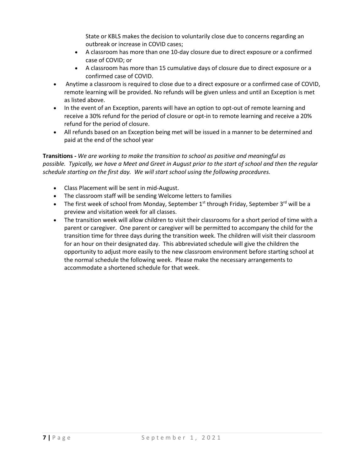State or KBLS makes the decision to voluntarily close due to concerns regarding an outbreak or increase in COVID cases;

- A classroom has more than one 10-day closure due to direct exposure or a confirmed case of COVID; or
- A classroom has more than 15 cumulative days of closure due to direct exposure or a confirmed case of COVID.
- Anytime a classroom is required to close due to a direct exposure or a confirmed case of COVID, remote learning will be provided. No refunds will be given unless and until an Exception is met as listed above.
- In the event of an Exception, parents will have an option to opt-out of remote learning and receive a 30% refund for the period of closure or opt-in to remote learning and receive a 20% refund for the period of closure.
- All refunds based on an Exception being met will be issued in a manner to be determined and paid at the end of the school year

**Transitions -** *We are working to make the transition to school as positive and meaningful as possible. Typically, we have a Meet and Greet in August prior to the start of school and then the regular schedule starting on the first day. We will start school using the following procedures.*

- Class Placement will be sent in mid-August.
- The classroom staff will be sending Welcome letters to families
- The first week of school from Monday, September  $1<sup>st</sup>$  through Friday, September  $3<sup>rd</sup>$  will be a preview and visitation week for all classes.
- The transition week will allow children to visit their classrooms for a short period of time with a parent or caregiver. One parent or caregiver will be permitted to accompany the child for the transition time for three days during the transition week. The children will visit their classroom for an hour on their designated day. This abbreviated schedule will give the children the opportunity to adjust more easily to the new classroom environment before starting school at the normal schedule the following week. Please make the necessary arrangements to accommodate a shortened schedule for that week.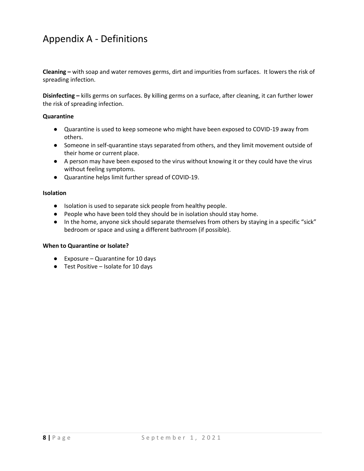### Appendix A - Definitions

**Cleaning –** with soap and water removes germs, dirt and impurities from surfaces. It lowers the risk of spreading infection.

**Disinfecting –** kills germs on surfaces. By killing germs on a surface, after cleaning, it can further lower the risk of spreading infection.

#### **Quarantine**

- Quarantine is used to keep someone who might have been exposed to COVID-19 away from others.
- Someone in self-quarantine stays separated from others, and they limit movement outside of their home or current place.
- A person may have been exposed to the virus without knowing it or they could have the virus without feeling symptoms.
- Quarantine helps limit further spread of COVID-19.

#### **Isolation**

- Isolation is used to separate sick people from healthy people.
- People who have been told they should be in isolation should stay home.
- In the home, anyone sick should separate themselves from others by staying in a specific "sick" bedroom or space and using a different bathroom (if possible).

#### **When to Quarantine or Isolate?**

- Exposure Quarantine for 10 days
- Test Positive Isolate for 10 days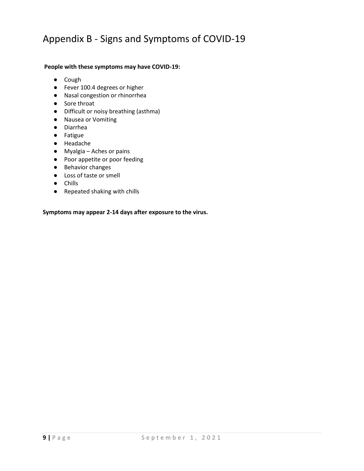### Appendix B - Signs and Symptoms of COVID-19

#### **People with these symptoms may have COVID-19:**

- Cough
- Fever 100.4 degrees or higher
- Nasal congestion or rhinorrhea
- Sore throat
- Difficult or noisy breathing (asthma)
- Nausea or Vomiting
- Diarrhea
- Fatigue
- Headache
- Myalgia Aches or pains
- Poor appetite or poor feeding
- Behavior changes
- Loss of taste or smell
- Chills
- Repeated shaking with chills

**Symptoms may appear 2-14 days after exposure to the virus.**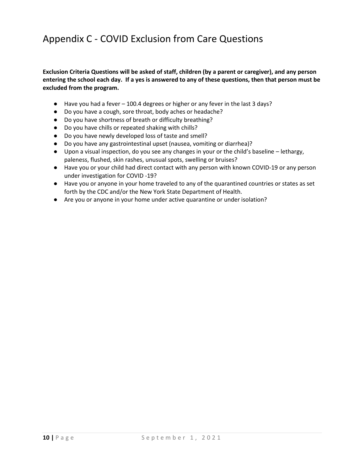# Appendix C - COVID Exclusion from Care Questions

**Exclusion Criteria Questions will be asked of staff, children (by a parent or caregiver), and any person entering the school each day. If a yes is answered to any of these questions, then that person must be excluded from the program.**

- Have you had a fever 100.4 degrees or higher or any fever in the last 3 days?
- Do you have a cough, sore throat, body aches or headache?
- Do you have shortness of breath or difficulty breathing?
- Do you have chills or repeated shaking with chills?
- Do you have newly developed loss of taste and smell?
- Do you have any gastrointestinal upset (nausea, vomiting or diarrhea)?
- Upon a visual inspection, do you see any changes in your or the child's baseline lethargy, paleness, flushed, skin rashes, unusual spots, swelling or bruises?
- Have you or your child had direct contact with any person with known COVID-19 or any person under investigation for COVID -19?
- Have you or anyone in your home traveled to any of the quarantined countries or states as set forth by the CDC and/or the New York State Department of Health.
- Are you or anyone in your home under active quarantine or under isolation?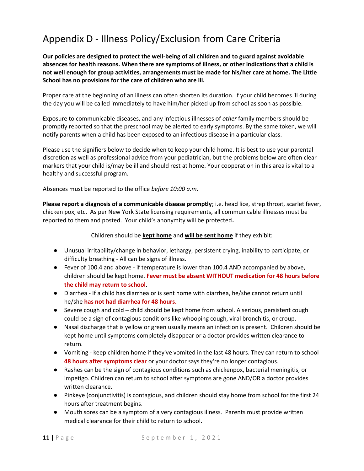# Appendix D - Illness Policy/Exclusion from Care Criteria

**Our policies are designed to protect the well-being of all children and to guard against avoidable absences for health reasons. When there are symptoms of illness, or other indications that a child is not well enough for group activities, arrangements must be made for his/her care at home. The Little School has no provisions for the care of children who are ill.**

Proper care at the beginning of an illness can often shorten its duration. If your child becomes ill during the day you will be called immediately to have him/her picked up from school as soon as possible.

Exposure to communicable diseases, and any infectious illnesses of *other* family members should be promptly reported so that the preschool may be alerted to early symptoms. By the same token, we will notify parents when a child has been exposed to an infectious disease in a particular class.

Please use the signifiers below to decide when to keep your child home. It is best to use your parental discretion as well as professional advice from your pediatrician, but the problems below are often clear markers that your child is/may be ill and should rest at home. Your cooperation in this area is vital to a healthy and successful program.

Absences must be reported to the office *before 10:00 a.m*.

**Please report a diagnosis of a communicable disease promptly**; i.e. head lice, strep throat, scarlet fever, chicken pox, etc. As per New York State licensing requirements, all communicable illnesses must be reported to them and posted. Your child's anonymity will be protected.

#### Children should be **kept home** and **will be sent home** if they exhibit:

- Unusual irritability/change in behavior, lethargy, persistent crying, inability to participate, or difficulty breathing - All can be signs of illness.
- Fever of 100.4 and above if temperature is lower than 100.4 AND accompanied by above, children should be kept home. **Fever must be absent WITHOUT medication for 48 hours before the child may return to school**.
- Diarrhea If a child has diarrhea or is sent home with diarrhea, he/she cannot return until he/she **has not had diarrhea for 48 hours.**
- Severe cough and cold child should be kept home from school. A serious, persistent cough could be a sign of contagious conditions like whooping cough, viral bronchitis, or croup.
- Nasal discharge that is yellow or green usually means an infection is present. Children should be kept home until symptoms completely disappear or a doctor provides written clearance to return.
- Vomiting keep children home if they've vomited in the last 48 hours. They can return to school **48 hours after symptoms clear** or your doctor says they're no longer contagious.
- Rashes can be the sign of contagious conditions such as chickenpox, bacterial meningitis, or impetigo. Children can return to school after symptoms are gone AND/OR a doctor provides written clearance.
- Pinkeye (conjunctivitis) is contagious, and children should stay home from school for the first 24 hours after treatment begins.
- Mouth sores can be a symptom of a very contagious illness. Parents must provide written medical clearance for their child to return to school.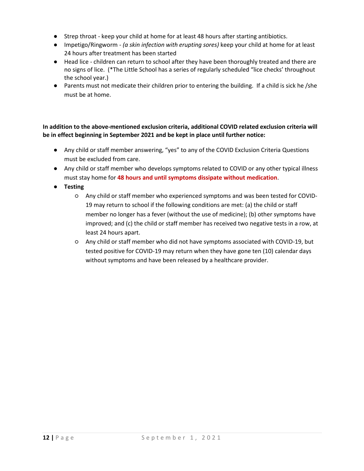- Strep throat keep your child at home for at least 48 hours after starting antibiotics.
- [Impetigo/](http://www.healthychildren.org/English/health-issues/conditions/skin/Pages/Impetigo.aspx)Ringworm *(a skin infection with erupting sores)* keep your child at home for at least 24 hours after treatment has been started
- [Head lice](http://www.babycenter.com/0_head-lice-101-what-lice-look-like-how-they-behave-and-how-ki_10892.bc) children can return to school after they have been thoroughly treated and there are no signs of lice. (\*The Little School has a series of regularly scheduled "lice checks' throughout the school year.)
- Parents must not medicate their children prior to entering the building. If a child is sick he /she must be at home.

#### **In addition to the above-mentioned exclusion criteria, additional COVID related exclusion criteria will be in effect beginning in September 2021 and be kept in place until further notice:**

- Any child or staff member answering, "yes" to any of the COVID Exclusion Criteria Questions must be excluded from care.
- Any child or staff member who develops symptoms related to COVID or any other typical illness must stay home for **48 hours and until symptoms dissipate without medication**.
- **Testing**
	- Any child or staff member who experienced symptoms and was been tested for COVID-19 may return to school if the following conditions are met: (a) the child or staff member no longer has a fever (without the use of medicine); (b) other symptoms have improved; and (c) the child or staff member has received two negative tests in a row, at least 24 hours apart.
	- Any child or staff member who did not have symptoms associated with COVID-19, but tested positive for COVID-19 may return when they have gone ten (10) calendar days without symptoms and have been released by a healthcare provider.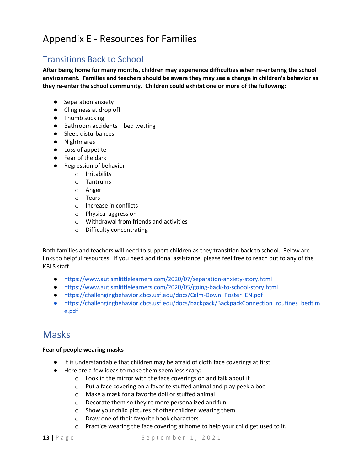## Appendix E - Resources for Families

### Transitions Back to School

**After being home for many months, children may experience difficulties when re-entering the school environment. Families and teachers should be aware they may see a change in children's behavior as they re-enter the school community. Children could exhibit one or more of the following:**

- Separation anxiety
- Clinginess at drop off
- Thumb sucking
- Bathroom accidents bed wetting
- Sleep disturbances
- Nightmares
- Loss of appetite
- Fear of the dark
- Regression of behavior
	- o Irritability
	- o Tantrums
	- o Anger
	- o Tears
	- o Increase in conflicts
	- o Physical aggression
	- o Withdrawal from friends and activities
	- o Difficulty concentrating

Both families and teachers will need to support children as they transition back to school. Below are links to helpful resources. If you need additional assistance, please feel free to reach out to any of the KBLS staff

- <https://www.autismlittlelearners.com/2020/07/separation-anxiety-story.html>
- <https://www.autismlittlelearners.com/2020/05/going-back-to-school-story.html>
- [https://challengingbehavior.cbcs.usf.edu/docs/Calm-Down\\_Poster\\_EN.pdf](https://challengingbehavior.cbcs.usf.edu/docs/Calm-Down_Poster_EN.pdf)
- https://challengingbehavior.cbcs.usf.edu/docs/backpack/BackpackConnection\_routines\_bedtim e.pdf

### Masks

#### **Fear of people wearing masks**

- It is understandable that children may be afraid of cloth face coverings at first.
- Here are a few ideas to make them seem less scary:
	- o Look in the mirror with the face coverings on and talk about it
	- o Put a face covering on a favorite stuffed animal and play peek a boo
	- o Make a mask for a favorite doll or stuffed animal
	- o Decorate them so they're more personalized and fun
	- o Show your child pictures of other children wearing them.
	- o Draw one of their favorite book characters
	- o Practice wearing the face covering at home to help your child get used to it.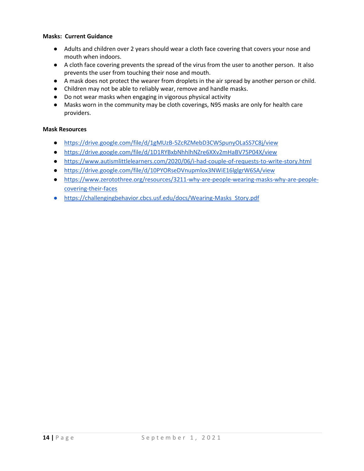#### **Masks: Current Guidance**

- Adults and children over 2 years should wear a cloth face covering that covers your nose and mouth when indoors.
- A cloth face covering prevents the spread of the virus from the user to another person. It also prevents the user from touching their nose and mouth.
- A mask does not protect the wearer from droplets in the air spread by another person or child.
- Children may not be able to reliably wear, remove and handle masks.
- Do not wear masks when engaging in vigorous physical activity
- Masks worn in the community may be cloth coverings, N95 masks are only for health care providers.

#### **Mask Resources**

- <https://drive.google.com/file/d/1gMUzB-5ZcRZMebD3CWSpunyOLaSS7C8j/view>
- <https://drive.google.com/file/d/1D1RYBxbNhhlhNZre6XXv2mHaBV75P04X/view>
- <https://www.autismlittlelearners.com/2020/06/i-had-couple-of-requests-to-write-story.html>
- <https://drive.google.com/file/d/10PYORseDVnupmlox3NWiE16lglgrW6SA/view>
- [https://www.zerotothree.org/resources/3211-why-are-people-wearing-masks-why-are-people](https://www.zerotothree.org/resources/3211-why-are-people-wearing-masks-why-are-people-covering-their-faces)[covering-their-faces](https://www.zerotothree.org/resources/3211-why-are-people-wearing-masks-why-are-people-covering-their-faces)
- [https://challengingbehavior.cbcs.usf.edu/docs/Wearing-Masks\\_Story.pdf](https://challengingbehavior.cbcs.usf.edu/docs/Wearing-Masks_Story.pdf)